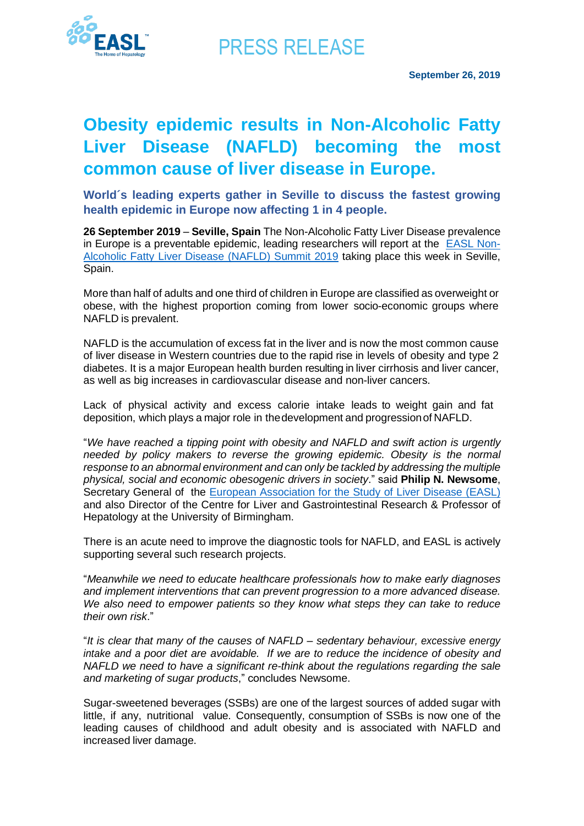

PRESS RELEASE

## **Obesity epidemic results in Non-Alcoholic Fatty Liver Disease (NAFLD) becoming the most common cause of liver disease in Europe.**

**World´s leading experts gather in Seville to discuss the fastest growing health epidemic in Europe now affecting 1 in 4 people.**

**26 September 2019** – **Seville, Spain** The Non-Alcoholic Fatty Liver Disease prevalence in Europe is a preventable epidemic, leading researchers will report at the [EASL Non-](https://easl.eu/event/nafld-summit-2019/)[Alcoholic Fatty Liver Disease \(NAFLD\) Summit 2019](https://easl.eu/event/nafld-summit-2019/) taking place this week in Seville, Spain.

More than half of adults and one third of children in Europe are classified as overweight or obese, with the highest proportion coming from lower socio-economic groups where NAFLD is prevalent.

NAFLD is the accumulation of excess fat in the liver and is now the most common cause of liver disease in Western countries due to the rapid rise in levels of obesity and type 2 diabetes. It is a major European health burden resulting in liver cirrhosis and liver cancer, as well as big increases in cardiovascular disease and non-liver cancers.

Lack of physical activity and excess calorie intake leads to weight gain and fat deposition, which plays a major role in thedevelopment and progressionof NAFLD.

"*We have reached a tipping point with obesity and NAFLD and swift action is urgently needed by policy makers to reverse the growing epidemic. Obesity is the normal response to an abnormal environment and can only be tackled by addressing the multiple physical, social and economic obesogenic drivers in society*." said **Philip N. Newsome**, Secretary General of the [European Association for the Study of Liver Disease \(EASL\)](https://easl.eu/)  and also Director of the Centre for Liver and Gastrointestinal Research & Professor of Hepatology at the University of Birmingham.

There is an acute need to improve the diagnostic tools for NAFLD, and EASL is actively supporting several such research projects.

"*Meanwhile we need to educate healthcare professionals how to make early diagnoses and implement interventions that can prevent progression to a more advanced disease. We also need to empower patients so they know what steps they can take to reduce their own risk*."

"*It is clear that many of the causes of NAFLD – sedentary behaviour, excessive energy intake and a poor diet are avoidable. If we are to reduce the incidence of obesity and NAFLD we need to have a significant re-think about the regulations regarding the sale and marketing of sugar products*," concludes Newsome.

Sugar-sweetened beverages (SSBs) are one of the largest sources of added sugar with little, if any, nutritional value. Consequently, consumption of SSBs is now one of the leading causes of childhood and adult obesity and is associated with NAFLD and increased liver damage.